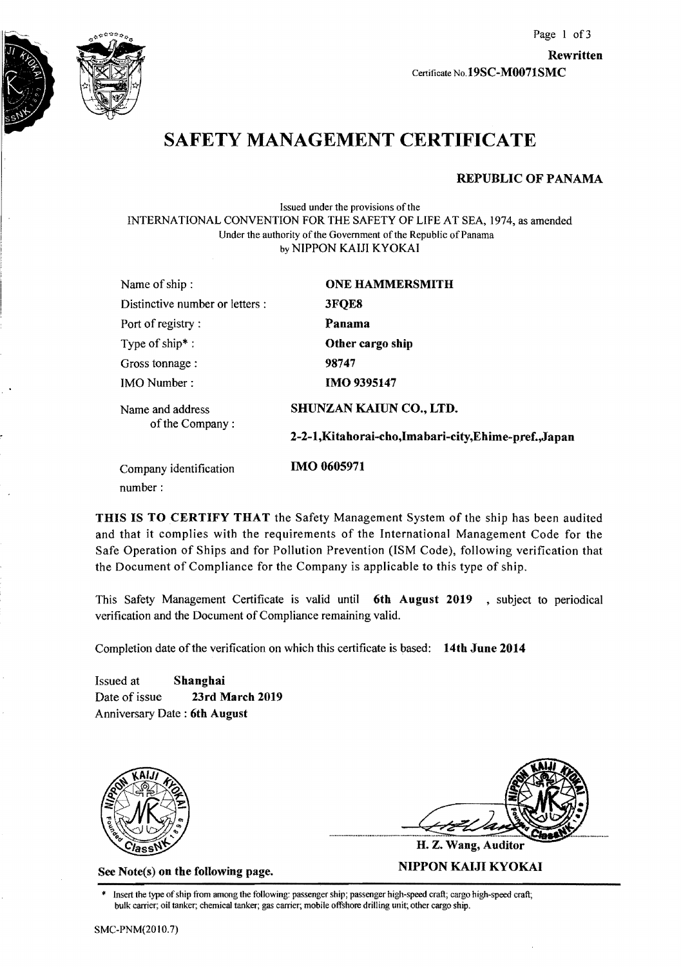

# SAFETY MANAGEMENT CERTIFICATE

#### REPUBLIC OF PANAMA

Issued under the provisions of the INTERNA TIONAL CONVENTION FOR THE SAFETY OF LIFE AT SEA, 1974, as amended Under the authority of the Government of the Republic of Panama by NIPPON KAIJI KYOKAI

| Name of ship:                       | <b>ONE HAMMERSMITH</b>                                 |  |
|-------------------------------------|--------------------------------------------------------|--|
| Distinctive number or letters :     | 3FQE8                                                  |  |
| Port of registry:                   | Panama                                                 |  |
| Type of ship*:                      | Other cargo ship                                       |  |
| Gross tonnage :                     | 98747                                                  |  |
| <b>IMO</b> Number:                  | <b>IMO 9395147</b>                                     |  |
| Name and address<br>of the Company: | SHUNZAN KAIUN CO., LTD.                                |  |
|                                     | 2-2-1, Kitahorai-cho, Imabari-city, Ehime-pref., Japan |  |
| Company identification<br>number:   | <b>IMO 0605971</b>                                     |  |

THIS IS TO CERTIFY THAT the Safety Management System of the ship has been audited and that it complies with the requirements of the International Management Code for the Safe Operation of Ships and for Pollution Prevention (ISM Code), following verification that the Document of Compliance for the Company is applicable to this type of ship.

This Safety Management Certificate is valid until 6th August 2019, subject to periodical verification and the Document of Compliance remaining valid.

Completion date of the verification on which this certificate is based: 14th June 2014

Issued at Shanghai Date of issue 23rd March 2019 Anniversary Date : 6th August



H. Z. Wang, Auditor See Note(s) on the following page. MIPPON KAIJI KYOKAI

Insert the type of ship from among the following: passenger ship; passenger high-speed craft; cargo high-speed craft; bulk carrier; oil tanker; chemical tanker; gas carrier; mobile offshore drilling unit; other cargo ship.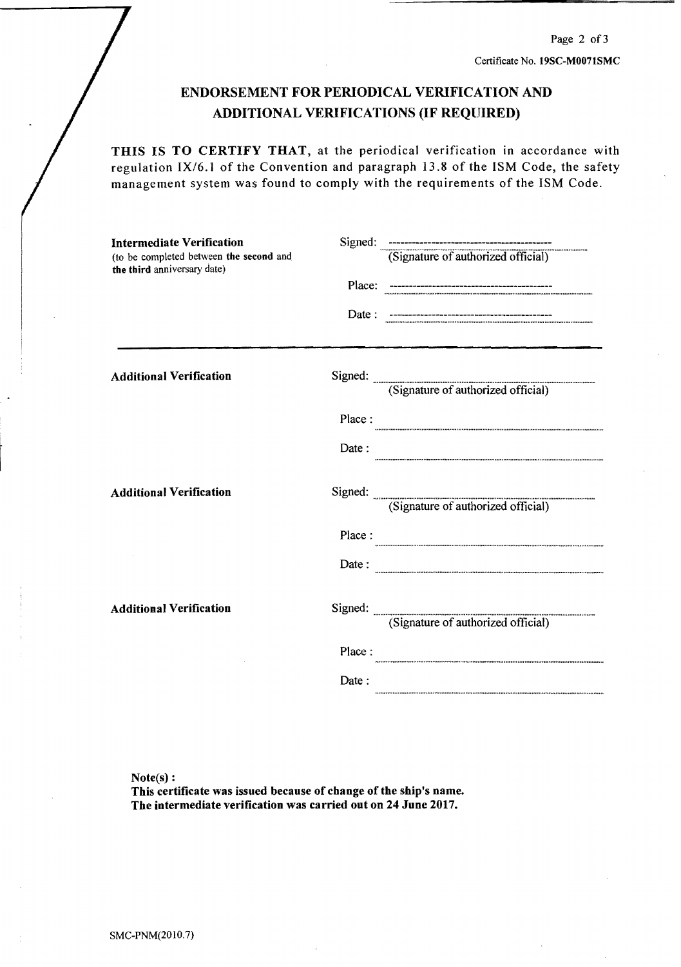### ENDORSEMENT FOR PERIODICAL VERIFICATION AND ADDITIONAL VERIFICATIONS (IF REQUIRED)

THIS IS TO CERTIFY THAT, at the periodical verification in accordance with regulation IX/6.1 of the Convention and paragraph 13.8 of the ISM Code, the safety management system was found to comply with the requirements of the ISM Code.

| <b>Intermediate Verification</b><br>(to be completed between the second and<br>the third anniversary date) |         |                                            |
|------------------------------------------------------------------------------------------------------------|---------|--------------------------------------------|
|                                                                                                            | Place:  |                                            |
|                                                                                                            | Date:   |                                            |
| <b>Additional Verification</b>                                                                             |         | Signed: (Signature of authorized official) |
|                                                                                                            |         |                                            |
|                                                                                                            | Place:  |                                            |
|                                                                                                            | Date:   |                                            |
| <b>Additional Verification</b>                                                                             | Signed: | (Signature of authorized official)         |
|                                                                                                            | Place:  |                                            |
|                                                                                                            | Date:   |                                            |
| <b>Additional Verification</b>                                                                             |         | Signed: (Signature of authorized official) |
|                                                                                                            | Place:  |                                            |
|                                                                                                            | Date:   |                                            |
|                                                                                                            |         |                                            |

 $Note(s):$ 

This certificate was issued because of change of the ship's name. The intermediate verification was carried out on 24 June 2017.